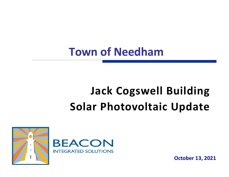## **Town of Needham**

# **Jack Cogswell Building Solar Photovoltaic Update**



**October 13, 2021**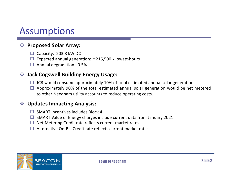### Assumptions

#### v **Proposed Solar Array:**

- $\Box$  Capacity: 203.8 kW DC
- $\Box$  Expected annual generation: ~216,500 kilowatt-hours
- $\Box$  Annual degradation: 0.5%

#### $\cdot$  **Jack Cogswell Building Energy Usage:**

- $\Box$  JCB would consume approximately 10% of total estimated annual solar generation.
- $\Box$  Approximately 90% of the total estimated annual solar generation would be net metered to other Needham utility accounts to reduce operating costs.

#### **❖ Updates Impacting Analysis:**

- $\Box$  SMART incentives includes Block 4.
- $\Box$  SMART Value of Energy charges include current data from January 2021.
- $\Box$  Net Metering Credit rate reflects current market rates.
- $\Box$  Alternative On-Bill Credit rate reflects current market rates.

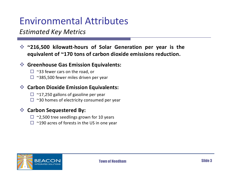## Environmental Attributes

### *Estimated Key Metrics*

v **~216,500 kilowatt-hours of Solar Generation per year is the equivalent of ~170 tons of carbon dioxide emissions reduction.**

#### v **Greenhouse Gas Emission Equivalents:**

- $\Box$  ~33 fewer cars on the road, or
- $\Box$  ~385,500 fewer miles driven per year

#### $\triangleleft$  **Carbon Dioxide Emission Equivalents:**

- $\Box$  ~17,250 gallons of gasoline per year
- $\Box$  ~30 homes of electricity consumed per year

#### $\div$  Carbon Sequestered By:

- $\Box$  ~2,500 tree seedlings grown for 10 years
- $\Box$  ~190 acres of forests in the US in one year

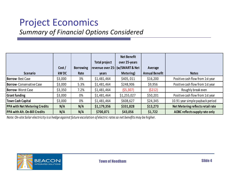## Project Economics

### *Summary of Financial Options Considered*

| <b>Scenario</b>                      | Cost/<br>kW DC | <b>Borrowing</b><br>Rate | <b>Total project</b><br>years | <b>Net Benefit</b><br>over 25-years<br>revenue over 25- (w/SMART & Net<br>Metering) | Average<br><b>Annual Benefit</b> | <b>Notes</b>                      |
|--------------------------------------|----------------|--------------------------|-------------------------------|-------------------------------------------------------------------------------------|----------------------------------|-----------------------------------|
| <b>Borrow-Best Case</b>              | \$3,000        | 3%                       | \$1,481,464                   | \$405,011                                                                           | \$16,200                         | Positive cash flow from 1st year  |
| <b>Borrow-Conservative Case</b>      | \$3,000        | 5.3%                     | \$1,481,464                   | \$248,906                                                                           | \$9,956                          | Positive cash flow from 1st year  |
| <b>Borrow-</b> Worst Case            | \$3,350        | 7.2%                     | \$1,481,464                   | (55, 307)                                                                           | (5212)                           | Roughly break even                |
| <b>Grant funding</b>                 | \$3,000        | 0%                       | \$1,481,464                   | \$1,255,027                                                                         | \$50,201                         | Positive cash flow from 1st year  |
| Town Cash Capital                    | \$3,000        | 0%                       | \$1,481,464                   | \$608,627                                                                           | \$24,345                         | 10.91 year simple payback period  |
| <b>PPA with Net Metering Credits</b> | N/A            | N/A                      | \$1,179,356                   | \$331,828                                                                           | \$13,273                         | Net Metering reflects retail rate |
| <b>PPA with Alt. On-Bill Credits</b> | N/A            | N/A                      | \$700,871                     | \$43,056                                                                            | \$1,722                          | AOBC reflects supply rate only    |

*Note: On-site Solar electricity is a hedge against future escolation of electric rates so net benefits may be higher.*

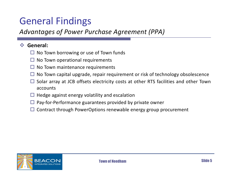## General Findings

### *Advantages of Power Purchase Agreement (PPA)*

#### v **General:**

- $\Box$  No Town borrowing or use of Town funds
- $\Box$  No Town operational requirements
- $\Box$  No Town maintenance requirements
- $\Box$  No Town capital upgrade, repair requirement or risk of technology obsolescence
- $\Box$  Solar array at JCB offsets electricity costs at other RTS facilities and other Town accounts
- $\Box$  Hedge against energy volatility and escalation
- $\Box$  Pay-for-Performance guarantees provided by private owner
- $\Box$  Contract through PowerOptions renewable energy group procurement

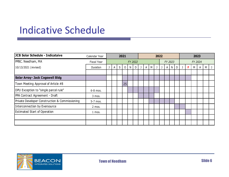### Indicative Schedule

| JCB Solar Schedule - Indicataive               | Calendar Year | 2021    |   |   |    | 2022 |   |   |   |   |  |  |         | 2023       |              |         |    |   |   |   |  |
|------------------------------------------------|---------------|---------|---|---|----|------|---|---|---|---|--|--|---------|------------|--------------|---------|----|---|---|---|--|
| PPBC. Needham, MA                              | Fiscal Year   | FY 2022 |   |   |    |      |   |   |   |   |  |  | FY 2023 |            |              | FY 2024 |    |   |   |   |  |
| 10/13/2021 (revised)                           | Duration      |         | A | S | 0  | N    | D | J | A | М |  |  |         | $A \mid N$ | <sup>D</sup> |         | F. | M | A | M |  |
|                                                |               |         |   |   |    |      |   |   |   |   |  |  |         |            |              |         |    |   |   |   |  |
| <b>Solar Array- Jack Cogswell Bldg</b>         |               |         |   |   |    |      |   |   |   |   |  |  |         |            |              |         |    |   |   |   |  |
| Town Meeting Approval of Article #8            |               |         |   |   | 25 |      |   |   |   |   |  |  |         |            |              |         |    |   |   |   |  |
| DPU Exception to "single parcel rule"          | 6-8 mos.      |         |   |   |    |      |   |   |   |   |  |  |         |            |              |         |    |   |   |   |  |
| PPA Contract Agreement - Draft                 | 3 mos.        |         |   |   |    |      |   |   |   |   |  |  |         |            |              |         |    |   |   |   |  |
| Private Developer Construction & Commissioning | 5-7 mos.      |         |   |   |    |      |   |   |   |   |  |  |         |            |              |         |    |   |   |   |  |
| Interconnection by Eversource                  | 2 mos.        |         |   |   |    |      |   |   |   |   |  |  |         |            |              |         |    |   |   |   |  |
| <b>Estimated Start of Operation</b>            | 1 mos.        |         |   |   |    |      |   |   |   |   |  |  |         |            |              |         |    |   |   |   |  |
|                                                |               |         |   |   |    |      |   |   |   |   |  |  |         |            |              |         |    |   |   |   |  |
|                                                |               |         |   |   |    |      |   |   |   |   |  |  |         |            |              |         |    |   |   |   |  |